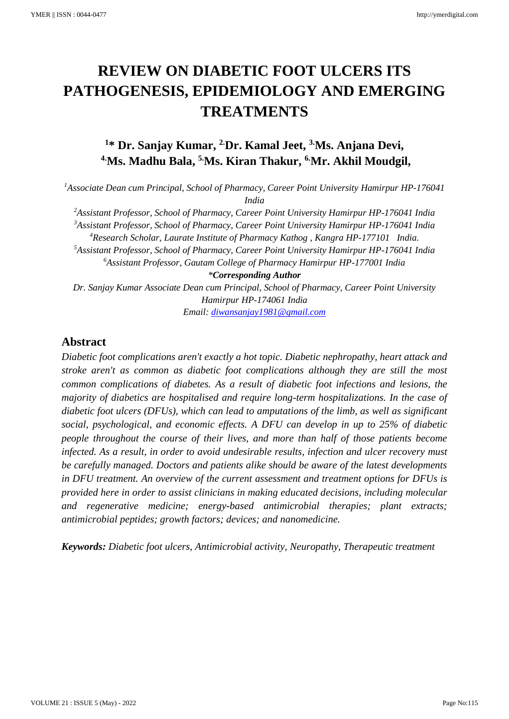# **REVIEW ON DIABETIC FOOT ULCERS ITS PATHOGENESIS, EPIDEMIOLOGY AND EMERGING TREATMENTS**

# **<sup>1</sup>\* Dr. Sanjay Kumar, 2.Dr. Kamal Jeet, 3.Ms. Anjana Devi, 4.Ms. Madhu Bala, 5.Ms. Kiran Thakur, 6.Mr. Akhil Moudgil,**

<sup>1</sup>Associate Dean cum Principal, School of Pharmacy, Career Point University Hamirpur HP-176041 *India*

*Assistant Professor, School of Pharmacy, Career Point University Hamirpur HP-176041 India Assistant Professor, School of Pharmacy, Career Point University Hamirpur HP-176041 India Research Scholar, Laurate Institute of Pharmacy Kathog , Kangra HP-177101 India. Assistant Professor, School of Pharmacy, Career Point University Hamirpur HP-176041 India Assistant Professor, Gautam College of Pharmacy Hamirpur HP-177001 India \*Corresponding Author*

*Dr. Sanjay Kumar Associate Dean cum Principal, School of Pharmacy, Career Point University Hamirpur HP-174061 India*

*Email: [diwansanjay1981@gmail.com](mailto:diwansanjay1981@gmail.com)*

# **Abstract**

*Diabetic foot complications aren't exactly a hot topic. Diabetic nephropathy, heart attack and stroke aren't as common as diabetic foot complications although they are still the most common complications of diabetes. As a result of diabetic foot infections and lesions, the majority of diabetics are hospitalised and require long-term hospitalizations. In the case of diabetic foot ulcers (DFUs), which can lead to amputations of the limb, as well as significant social, psychological, and economic effects. A DFU can develop in up to 25% of diabetic people throughout the course of their lives, and more than half of those patients become infected. As a result, in order to avoid undesirable results, infection and ulcer recovery must be carefully managed. Doctors and patients alike should be aware of the latest developments in DFU treatment. An overview of the current assessment and treatment options for DFUs is provided here in order to assist clinicians in making educated decisions, including molecular and regenerative medicine; energy-based antimicrobial therapies; plant extracts; antimicrobial peptides; growth factors; devices; and nanomedicine.*

*Keywords: Diabetic foot ulcers, Antimicrobial activity, Neuropathy, Therapeutic treatment*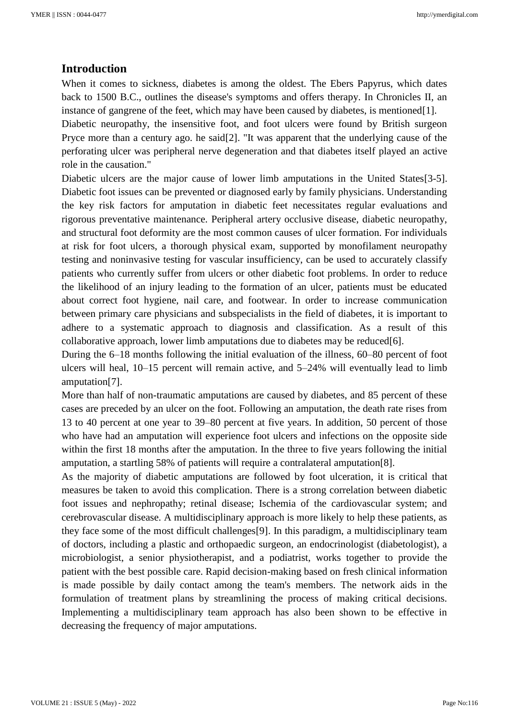# **Introduction**

When it comes to sickness, diabetes is among the oldest. The Ebers Papyrus, which dates back to 1500 B.C., outlines the disease's symptoms and offers therapy. In Chronicles II, an instance of gangrene of the feet, which may have been caused by diabetes, is mentioned [1].

Diabetic neuropathy, the insensitive foot, and foot ulcers were found by British surgeon Pryce more than a century ago. he said[2]. "It was apparent that the underlying cause of the perforating ulcer was peripheral nerve degeneration and that diabetes itself played an active role in the causation."

Diabetic ulcers are the major cause of lower limb amputations in the United States[3-5]. Diabetic foot issues can be prevented or diagnosed early by family physicians. Understanding the key risk factors for amputation in diabetic feet necessitates regular evaluations and rigorous preventative maintenance. Peripheral artery occlusive disease, diabetic neuropathy, and structural foot deformity are the most common causes of ulcer formation. For individuals at risk for foot ulcers, a thorough physical exam, supported by monofilament neuropathy testing and noninvasive testing for vascular insufficiency, can be used to accurately classify patients who currently suffer from ulcers or other diabetic foot problems. In order to reduce the likelihood of an injury leading to the formation of an ulcer, patients must be educated about correct foot hygiene, nail care, and footwear. In order to increase communication between primary care physicians and subspecialists in the field of diabetes, it is important to adhere to a systematic approach to diagnosis and classification. As a result of this collaborative approach, lower limb amputations due to diabetes may be reduced  $[6]$ .

During the 6–18 months following the initial evaluation of the illness, 60–80 percent of foot ulcers will heal, 10–15 percent will remain active, and 5–24% will eventually lead to limb amputation[7].

More than half of non-traumatic amputations are caused by diabetes, and 85 percent of these cases are preceded by an ulcer on the foot. Following an amputation, the death rate rises from 13 to 40 percent at one year to 39–80 percent at five years. In addition, 50 percent of those who have had an amputation will experience foot ulcers and infections on the opposite side within the first 18 months after the amputation. In the three to five years following the initial amputation, a startling 58% of patients will require a contralateral amputation[8].

As the majority of diabetic amputations are followed by foot ulceration, it is critical that measures be taken to avoid this complication. There is a strong correlation between diabetic foot issues and nephropathy; retinal disease; Ischemia of the cardiovascular system; and cerebrovascular disease. A multidisciplinary approach is more likely to help these patients, as they face some of the most difficult challenges[9]. In this paradigm, a multidisciplinary team of doctors, including a plastic and orthopaedic surgeon, an endocrinologist (diabetologist), a microbiologist, a senior physiotherapist, and a podiatrist, works together to provide the patient with the best possible care. Rapid decision-making based on fresh clinical information is made possible by daily contact among the team's members. The network aids in the formulation of treatment plans by streamlining the process of making critical decisions. Implementing a multidisciplinary team approach has also been shown to be effective in decreasing the frequency of major amputations.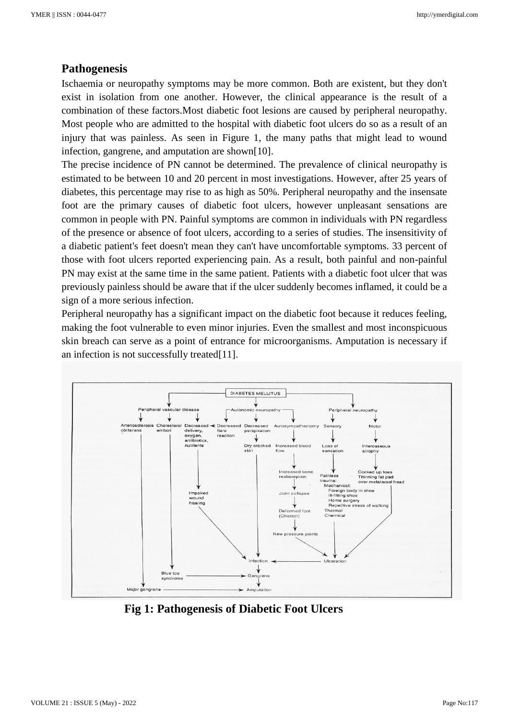# **Pathogenesis**

Ischaemia or neuropathy symptoms may be more common. Both are existent, but they don't exist in isolation from one another. However, the clinical appearance is the result of a combination of these factors.Most diabetic foot lesions are caused by peripheral neuropathy. Most people who are admitted to the hospital with diabetic foot ulcers do so as a result of an injury that was painless. As seen in Figure 1, the many paths that might lead to wound infection, gangrene, and amputation are shown[10].

The precise incidence of PN cannot be determined. The prevalence of clinical neuropathy is estimated to be between 10 and 20 percent in most investigations. However, after 25 years of diabetes, this percentage may rise to as high as 50%. Peripheral neuropathy and the insensate foot are the primary causes of diabetic foot ulcers, however unpleasant sensations are common in people with PN. Painful symptoms are common in individuals with PN regardless of the presence or absence of foot ulcers, according to a series of studies. The insensitivity of a diabetic patient's feet doesn't mean they can't have uncomfortable symptoms. 33 percent of those with foot ulcers reported experiencing pain. As a result, both painful and non-painful PN may exist at the same time in the same patient. Patients with a diabetic foot ulcer that was previously painless should be aware that if the ulcer suddenly becomes inflamed, it could be a sign of a more serious infection.

Peripheral neuropathy has a significant impact on the diabetic foot because it reduces feeling, making the foot vulnerable to even minor injuries. Even the smallest and most inconspicuous skin breach can serve as a point of entrance for microorganisms. Amputation is necessary if an infection is not successfully treated[11].



 **Fig 1: Pathogenesis of Diabetic Foot Ulcers**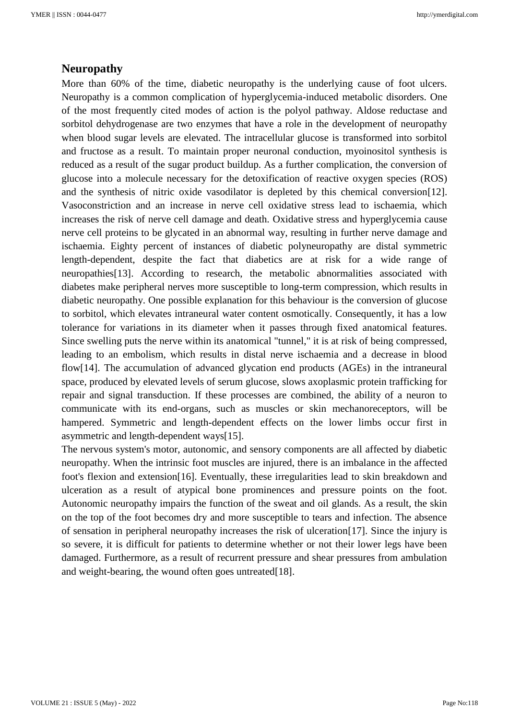# **Neuropathy**

More than 60% of the time, diabetic neuropathy is the underlying cause of foot ulcers. Neuropathy is a common complication of hyperglycemia-induced metabolic disorders. One of the most frequently cited modes of action is the polyol pathway. Aldose reductase and sorbitol dehydrogenase are two enzymes that have a role in the development of neuropathy when blood sugar levels are elevated. The intracellular glucose is transformed into sorbitol and fructose as a result. To maintain proper neuronal conduction, myoinositol synthesis is reduced as a result of the sugar product buildup. As a further complication, the conversion of glucose into a molecule necessary for the detoxification of reactive oxygen species (ROS) and the synthesis of nitric oxide vasodilator is depleted by this chemical conversion[12]. Vasoconstriction and an increase in nerve cell oxidative stress lead to ischaemia, which increases the risk of nerve cell damage and death. Oxidative stress and hyperglycemia cause nerve cell proteins to be glycated in an abnormal way, resulting in further nerve damage and ischaemia. Eighty percent of instances of diabetic polyneuropathy are distal symmetric length-dependent, despite the fact that diabetics are at risk for a wide range of neuropathies[13]. According to research, the metabolic abnormalities associated with diabetes make peripheral nerves more susceptible to long-term compression, which results in diabetic neuropathy. One possible explanation for this behaviour is the conversion of glucose to sorbitol, which elevates intraneural water content osmotically. Consequently, it has a low tolerance for variations in its diameter when it passes through fixed anatomical features. Since swelling puts the nerve within its anatomical "tunnel," it is at risk of being compressed, leading to an embolism, which results in distal nerve ischaemia and a decrease in blood flow[14]. The accumulation of advanced glycation end products (AGEs) in the intraneural space, produced by elevated levels of serum glucose, slows axoplasmic protein trafficking for repair and signal transduction. If these processes are combined, the ability of a neuron to communicate with its end-organs, such as muscles or skin mechanoreceptors, will be hampered. Symmetric and length-dependent effects on the lower limbs occur first in asymmetric and length-dependent ways[15].

The nervous system's motor, autonomic, and sensory components are all affected by diabetic neuropathy. When the intrinsic foot muscles are injured, there is an imbalance in the affected foot's flexion and extension[16]. Eventually, these irregularities lead to skin breakdown and ulceration as a result of atypical bone prominences and pressure points on the foot. Autonomic neuropathy impairs the function of the sweat and oil glands. As a result, the skin on the top of the foot becomes dry and more susceptible to tears and infection. The absence of sensation in peripheral neuropathy increases the risk of ulceration[17]. Since the injury is so severe, it is difficult for patients to determine whether or not their lower legs have been damaged. Furthermore, as a result of recurrent pressure and shear pressures from ambulation and weight-bearing, the wound often goes untreated[18].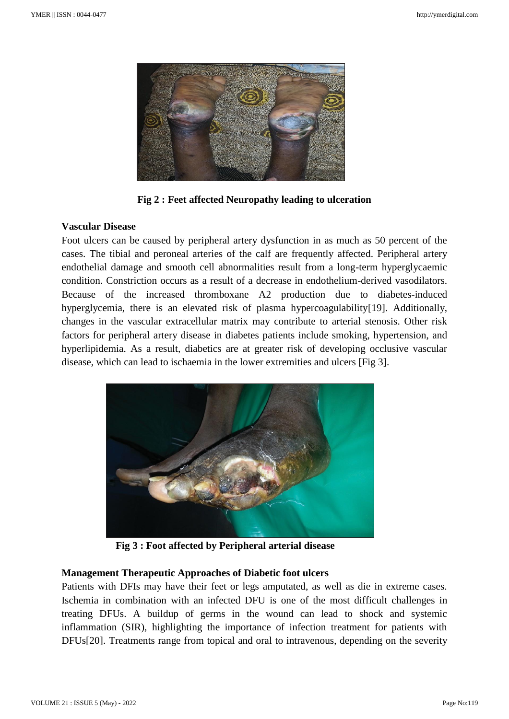

**Fig 2 : Feet affected Neuropathy leading to ulceration**

# **Vascular Disease**

Foot ulcers can be caused by peripheral artery dysfunction in as much as 50 percent of the cases. The tibial and peroneal arteries of the calf are frequently affected. Peripheral artery endothelial damage and smooth cell abnormalities result from a long-term hyperglycaemic condition. Constriction occurs as a result of a decrease in endothelium-derived vasodilators. Because of the increased thromboxane A2 production due to diabetes-induced hyperglycemia, there is an elevated risk of plasma hypercoagulability[19]. Additionally, changes in the vascular extracellular matrix may contribute to arterial stenosis. Other risk factors for peripheral artery disease in diabetes patients include smoking, hypertension, and hyperlipidemia. As a result, diabetics are at greater risk of developing occlusive vascular disease, which can lead to ischaemia in the lower extremities and ulcers [Fig 3].



**Fig 3 : Foot affected by Peripheral arterial disease** 

# **Management Therapeutic Approaches of Diabetic foot ulcers**

Patients with DFIs may have their feet or legs amputated, as well as die in extreme cases. Ischemia in combination with an infected DFU is one of the most difficult challenges in treating DFUs. A buildup of germs in the wound can lead to shock and systemic inflammation (SIR), highlighting the importance of infection treatment for patients with DFUs[20]. Treatments range from topical and oral to intravenous, depending on the severity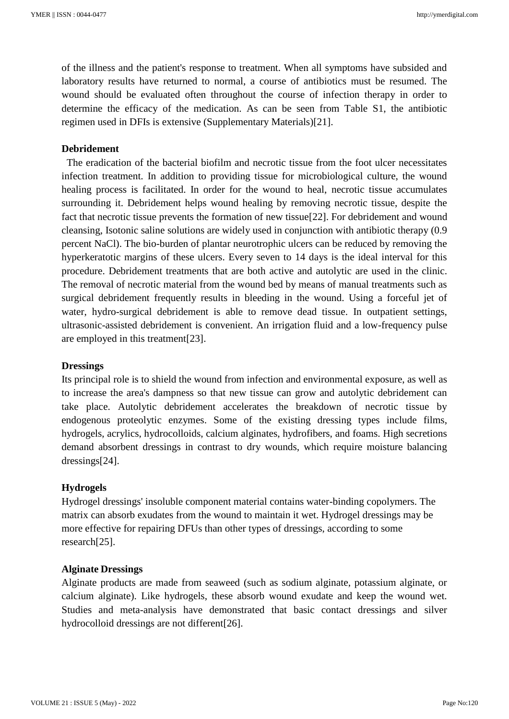of the illness and the patient's response to treatment. When all symptoms have subsided and laboratory results have returned to normal, a course of antibiotics must be resumed. The wound should be evaluated often throughout the course of infection therapy in order to determine the efficacy of the medication. As can be seen from Table S1, the antibiotic regimen used in DFIs is extensive (Supplementary Materials)[21].

#### **Debridement**

 The eradication of the bacterial biofilm and necrotic tissue from the foot ulcer necessitates infection treatment. In addition to providing tissue for microbiological culture, the wound healing process is facilitated. In order for the wound to heal, necrotic tissue accumulates surrounding it. Debridement helps wound healing by removing necrotic tissue, despite the fact that necrotic tissue prevents the formation of new tissue[22]. For debridement and wound cleansing, Isotonic saline solutions are widely used in conjunction with antibiotic therapy (0.9 percent NaCl). The bio-burden of plantar neurotrophic ulcers can be reduced by removing the hyperkeratotic margins of these ulcers. Every seven to 14 days is the ideal interval for this procedure. Debridement treatments that are both active and autolytic are used in the clinic. The removal of necrotic material from the wound bed by means of manual treatments such as surgical debridement frequently results in bleeding in the wound. Using a forceful jet of water, hydro-surgical debridement is able to remove dead tissue. In outpatient settings, ultrasonic-assisted debridement is convenient. An irrigation fluid and a low-frequency pulse are employed in this treatment[23].

#### **Dressings**

Its principal role is to shield the wound from infection and environmental exposure, as well as to increase the area's dampness so that new tissue can grow and autolytic debridement can take place. Autolytic debridement accelerates the breakdown of necrotic tissue by endogenous proteolytic enzymes. Some of the existing dressing types include films, hydrogels, acrylics, hydrocolloids, calcium alginates, hydrofibers, and foams. High secretions demand absorbent dressings in contrast to dry wounds, which require moisture balancing dressings[24].

#### **Hydrogels**

Hydrogel dressings' insoluble component material contains water-binding copolymers. The matrix can absorb exudates from the wound to maintain it wet. Hydrogel dressings may be more effective for repairing DFUs than other types of dressings, according to some research[25].

#### **Alginate Dressings**

Alginate products are made from seaweed (such as sodium alginate, potassium alginate, or calcium alginate). Like hydrogels, these absorb wound exudate and keep the wound wet. Studies and meta-analysis have demonstrated that basic contact dressings and silver hydrocolloid dressings are not different[26].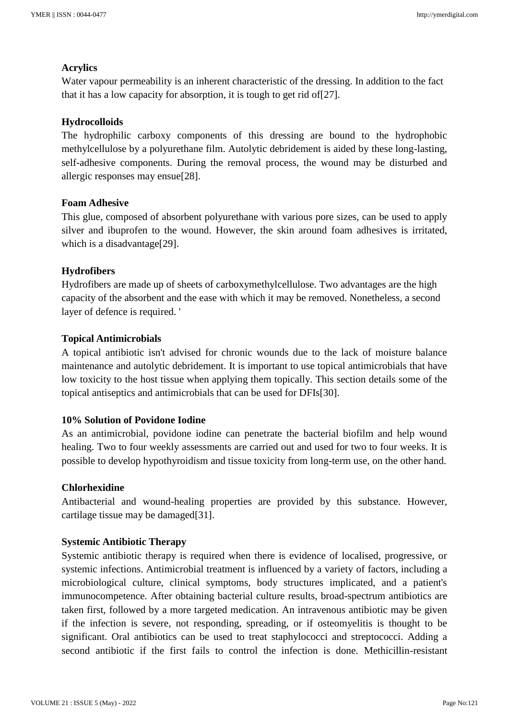# **Acrylics**

Water vapour permeability is an inherent characteristic of the dressing. In addition to the fact that it has a low capacity for absorption, it is tough to get rid of[27].

# **Hydrocolloids**

The hydrophilic carboxy components of this dressing are bound to the hydrophobic methylcellulose by a polyurethane film. Autolytic debridement is aided by these long-lasting, self-adhesive components. During the removal process, the wound may be disturbed and allergic responses may ensue[28].

# **Foam Adhesive**

This glue, composed of absorbent polyurethane with various pore sizes, can be used to apply silver and ibuprofen to the wound. However, the skin around foam adhesives is irritated, which is a disadvantage<sup>[29]</sup>.

### **Hydrofibers**

Hydrofibers are made up of sheets of carboxymethylcellulose. Two advantages are the high capacity of the absorbent and the ease with which it may be removed. Nonetheless, a second layer of defence is required. '

### **Topical Antimicrobials**

A topical antibiotic isn't advised for chronic wounds due to the lack of moisture balance maintenance and autolytic debridement. It is important to use topical antimicrobials that have low toxicity to the host tissue when applying them topically. This section details some of the topical antiseptics and antimicrobials that can be used for DFIs[30].

#### **10% Solution of Povidone Iodine**

As an antimicrobial, povidone iodine can penetrate the bacterial biofilm and help wound healing. Two to four weekly assessments are carried out and used for two to four weeks. It is possible to develop hypothyroidism and tissue toxicity from long-term use, on the other hand.

#### **Chlorhexidine**

Antibacterial and wound-healing properties are provided by this substance. However, cartilage tissue may be damaged[31].

#### **Systemic Antibiotic Therapy**

Systemic antibiotic therapy is required when there is evidence of localised, progressive, or systemic infections. Antimicrobial treatment is influenced by a variety of factors, including a microbiological culture, clinical symptoms, body structures implicated, and a patient's immunocompetence. After obtaining bacterial culture results, broad-spectrum antibiotics are taken first, followed by a more targeted medication. An intravenous antibiotic may be given if the infection is severe, not responding, spreading, or if osteomyelitis is thought to be significant. Oral antibiotics can be used to treat staphylococci and streptococci. Adding a second antibiotic if the first fails to control the infection is done. Methicillin-resistant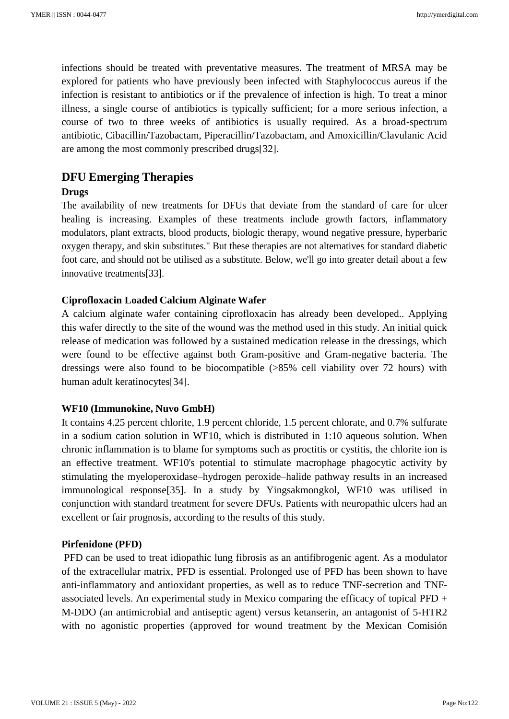infections should be treated with preventative measures. The treatment of MRSA may be explored for patients who have previously been infected with Staphylococcus aureus if the infection is resistant to antibiotics or if the prevalence of infection is high. To treat a minor illness, a single course of antibiotics is typically sufficient; for a more serious infection, a course of two to three weeks of antibiotics is usually required. As a broad-spectrum antibiotic, Cibacillin/Tazobactam, Piperacillin/Tazobactam, and Amoxicillin/Clavulanic Acid are among the most commonly prescribed drugs[32].

# **DFU Emerging Therapies**

# **Drugs**

The availability of new treatments for DFUs that deviate from the standard of care for ulcer healing is increasing. Examples of these treatments include growth factors, inflammatory modulators, plant extracts, blood products, biologic therapy, wound negative pressure, hyperbaric oxygen therapy, and skin substitutes." But these therapies are not alternatives for standard diabetic foot care, and should not be utilised as a substitute. Below, we'll go into greater detail about a few innovative treatments[33].

# **Ciprofloxacin Loaded Calcium Alginate Wafer**

A calcium alginate wafer containing ciprofloxacin has already been developed.. Applying this wafer directly to the site of the wound was the method used in this study. An initial quick release of medication was followed by a sustained medication release in the dressings, which were found to be effective against both Gram-positive and Gram-negative bacteria. The dressings were also found to be biocompatible (>85% cell viability over 72 hours) with human adult keratinocytes[34].

# **WF10 (Immunokine, Nuvo GmbH)**

It contains 4.25 percent chlorite, 1.9 percent chloride, 1.5 percent chlorate, and 0.7% sulfurate in a sodium cation solution in WF10, which is distributed in 1:10 aqueous solution. When chronic inflammation is to blame for symptoms such as proctitis or cystitis, the chlorite ion is an effective treatment. WF10's potential to stimulate macrophage phagocytic activity by stimulating the myeloperoxidase–hydrogen peroxide–halide pathway results in an increased immunological response[35]. In a study by Yingsakmongkol, WF10 was utilised in conjunction with standard treatment for severe DFUs. Patients with neuropathic ulcers had an excellent or fair prognosis, according to the results of this study.

# **Pirfenidone (PFD)**

PFD can be used to treat idiopathic lung fibrosis as an antifibrogenic agent. As a modulator of the extracellular matrix, PFD is essential. Prolonged use of PFD has been shown to have anti-inflammatory and antioxidant properties, as well as to reduce TNF-secretion and TNFassociated levels. An experimental study in Mexico comparing the efficacy of topical PFD + M-DDO (an antimicrobial and antiseptic agent) versus ketanserin, an antagonist of 5-HTR2 with no agonistic properties (approved for wound treatment by the Mexican Comisión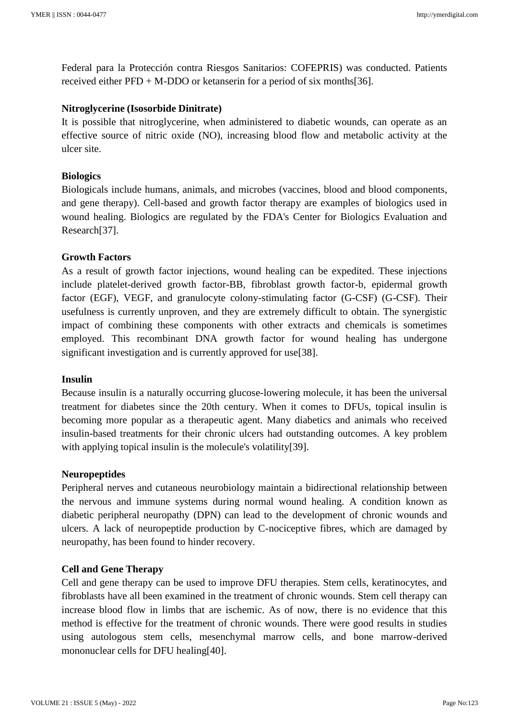Federal para la Protección contra Riesgos Sanitarios: COFEPRIS) was conducted. Patients received either PFD + M-DDO or ketanserin for a period of six months[36].

#### **Nitroglycerine (Isosorbide Dinitrate)**

It is possible that nitroglycerine, when administered to diabetic wounds, can operate as an effective source of nitric oxide (NO), increasing blood flow and metabolic activity at the ulcer site.

### **Biologics**

Biologicals include humans, animals, and microbes (vaccines, blood and blood components, and gene therapy). Cell-based and growth factor therapy are examples of biologics used in wound healing. Biologics are regulated by the FDA's Center for Biologics Evaluation and Research[37].

### **Growth Factors**

As a result of growth factor injections, wound healing can be expedited. These injections include platelet-derived growth factor-BB, fibroblast growth factor-b, epidermal growth factor (EGF), VEGF, and granulocyte colony-stimulating factor (G-CSF) (G-CSF). Their usefulness is currently unproven, and they are extremely difficult to obtain. The synergistic impact of combining these components with other extracts and chemicals is sometimes employed. This recombinant DNA growth factor for wound healing has undergone significant investigation and is currently approved for use[38].

#### **Insulin**

Because insulin is a naturally occurring glucose-lowering molecule, it has been the universal treatment for diabetes since the 20th century. When it comes to DFUs, topical insulin is becoming more popular as a therapeutic agent. Many diabetics and animals who received insulin-based treatments for their chronic ulcers had outstanding outcomes. A key problem with applying topical insulin is the molecule's volatility[39].

#### **Neuropeptides**

Peripheral nerves and cutaneous neurobiology maintain a bidirectional relationship between the nervous and immune systems during normal wound healing. A condition known as diabetic peripheral neuropathy (DPN) can lead to the development of chronic wounds and ulcers. A lack of neuropeptide production by C-nociceptive fibres, which are damaged by neuropathy, has been found to hinder recovery.

#### **Cell and Gene Therapy**

Cell and gene therapy can be used to improve DFU therapies. Stem cells, keratinocytes, and fibroblasts have all been examined in the treatment of chronic wounds. Stem cell therapy can increase blood flow in limbs that are ischemic. As of now, there is no evidence that this method is effective for the treatment of chronic wounds. There were good results in studies using autologous stem cells, mesenchymal marrow cells, and bone marrow-derived mononuclear cells for DFU healing[40].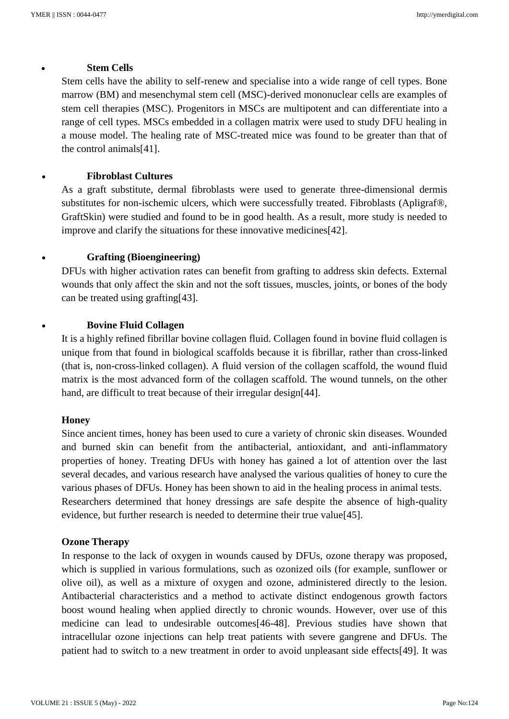#### • **Stem Cells**

Stem cells have the ability to self-renew and specialise into a wide range of cell types. Bone marrow (BM) and mesenchymal stem cell (MSC)-derived mononuclear cells are examples of stem cell therapies (MSC). Progenitors in MSCs are multipotent and can differentiate into a range of cell types. MSCs embedded in a collagen matrix were used to study DFU healing in a mouse model. The healing rate of MSC-treated mice was found to be greater than that of the control animals[41].

# • **Fibroblast Cultures**

As a graft substitute, dermal fibroblasts were used to generate three-dimensional dermis substitutes for non-ischemic ulcers, which were successfully treated. Fibroblasts (Apligraf®, GraftSkin) were studied and found to be in good health. As a result, more study is needed to improve and clarify the situations for these innovative medicines[42].

# • **Grafting (Bioengineering)**

DFUs with higher activation rates can benefit from grafting to address skin defects. External wounds that only affect the skin and not the soft tissues, muscles, joints, or bones of the body can be treated using grafting[43].

### • **Bovine Fluid Collagen**

It is a highly refined fibrillar bovine collagen fluid. Collagen found in bovine fluid collagen is unique from that found in biological scaffolds because it is fibrillar, rather than cross-linked (that is, non-cross-linked collagen). A fluid version of the collagen scaffold, the wound fluid matrix is the most advanced form of the collagen scaffold. The wound tunnels, on the other hand, are difficult to treat because of their irregular design[44].

#### **Honey**

Since ancient times, honey has been used to cure a variety of chronic skin diseases. Wounded and burned skin can benefit from the antibacterial, antioxidant, and anti-inflammatory properties of honey. Treating DFUs with honey has gained a lot of attention over the last several decades, and various research have analysed the various qualities of honey to cure the various phases of DFUs. Honey has been shown to aid in the healing process in animal tests. Researchers determined that honey dressings are safe despite the absence of high-quality evidence, but further research is needed to determine their true value[45].

#### **Ozone Therapy**

In response to the lack of oxygen in wounds caused by DFUs, ozone therapy was proposed, which is supplied in various formulations, such as ozonized oils (for example, sunflower or olive oil), as well as a mixture of oxygen and ozone, administered directly to the lesion. Antibacterial characteristics and a method to activate distinct endogenous growth factors boost wound healing when applied directly to chronic wounds. However, over use of this medicine can lead to undesirable outcomes[46-48]. Previous studies have shown that intracellular ozone injections can help treat patients with severe gangrene and DFUs. The patient had to switch to a new treatment in order to avoid unpleasant side effects[49]. It was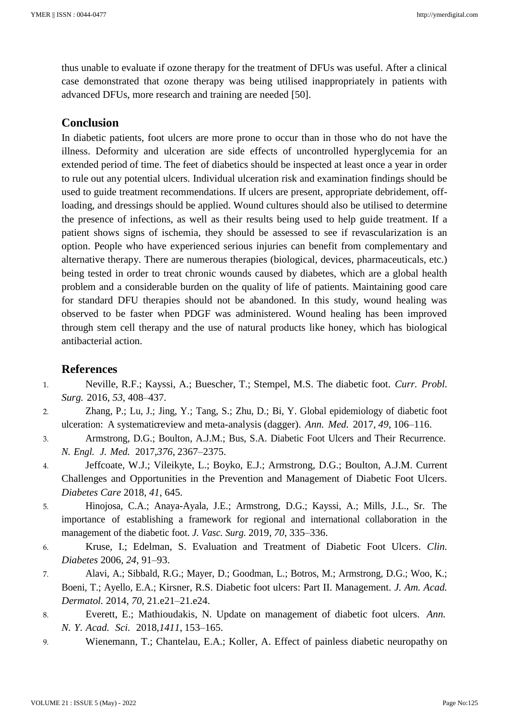thus unable to evaluate if ozone therapy for the treatment of DFUs was useful. After a clinical case demonstrated that ozone therapy was being utilised inappropriately in patients with advanced DFUs, more research and training are needed [50].

# **Conclusion**

In diabetic patients, foot ulcers are more prone to occur than in those who do not have the illness. Deformity and ulceration are side effects of uncontrolled hyperglycemia for an extended period of time. The feet of diabetics should be inspected at least once a year in order to rule out any potential ulcers. Individual ulceration risk and examination findings should be used to guide treatment recommendations. If ulcers are present, appropriate debridement, offloading, and dressings should be applied. Wound cultures should also be utilised to determine the presence of infections, as well as their results being used to help guide treatment. If a patient shows signs of ischemia, they should be assessed to see if revascularization is an option. People who have experienced serious injuries can benefit from complementary and alternative therapy. There are numerous therapies (biological, devices, pharmaceuticals, etc.) being tested in order to treat chronic wounds caused by diabetes, which are a global health problem and a considerable burden on the quality of life of patients. Maintaining good care for standard DFU therapies should not be abandoned. In this study, wound healing was observed to be faster when PDGF was administered. Wound healing has been improved through stem cell therapy and the use of natural products like honey, which has biological antibacterial action.

# **References**

- 1. Neville, R.F.; Kayssi, A.; Buescher, T.; Stempel, M.S. The diabetic foot. *Curr. Probl. Surg.* 2016, *53*, 408–437.
- 2. Zhang, P.; Lu, J.; Jing, Y.; Tang, S.; Zhu, D.; Bi, Y. Global epidemiology of diabetic foot ulceration: A systematic review and meta-analysis (dagger). *Ann. Med.* 2017, 49, 106–116.
- 3. Armstrong, D.G.; Boulton, A.J.M.; Bus, S.A. Diabetic Foot Ulcers and Their Recurrence. *N. Engl. J. Med.* 2017,*376*, 2367–2375.
- 4. Jeffcoate, W.J.; Vileikyte, L.; Boyko, E.J.; Armstrong, D.G.; Boulton, A.J.M. Current Challenges and Opportunities in the Prevention and Management of Diabetic Foot Ulcers. *Diabetes Care* 2018, *41*, 645.
- 5. Hinojosa, C.A.; Anaya-Ayala, J.E.; Armstrong, D.G.; Kayssi, A.; Mills, J.L., Sr. The importance of establishing a framework for regional and international collaboration in the management of the diabetic foot. *J. Vasc. Surg.* 2019, *70*, 335–336.
- 6. Kruse, I.; Edelman, S. Evaluation and Treatment of Diabetic Foot Ulcers. *Clin. Diabetes* 2006, *24*, 91–93.
- 7. Alavi, A.; Sibbald, R.G.; Mayer, D.; Goodman, L.; Botros, M.; Armstrong, D.G.; Woo, K.; Boeni, T.; Ayello, E.A.; Kirsner, R.S. Diabetic foot ulcers: Part II. Management. *J. Am. Acad. Dermatol.* 2014, *70*, 21.e21–21.e24.
- 8. Everett, E.; Mathioudakis, N. Update on management of diabetic foot ulcers. *Ann. N. Y. Acad. Sci.* 2018,*1411*, 153–165.
- 9. Wienemann, T.; Chantelau, E.A.; Koller, A. Effect of painless diabetic neuropathy on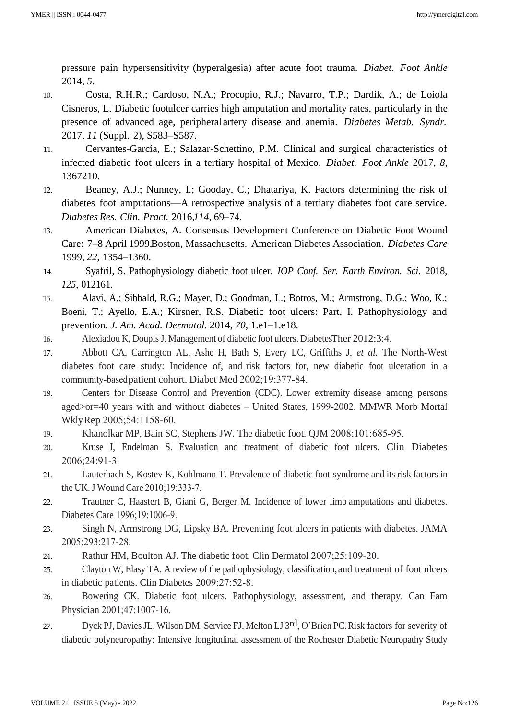pressure pain hypersensitivity (hyperalgesia) after acute foot trauma. *Diabet. Foot Ankle*  2014, *5*.

- 10. Costa, R.H.R.; Cardoso, N.A.; Procopio, R.J.; Navarro, T.P.; Dardik, A.; de Loiola Cisneros, L. Diabetic footulcer carries high amputation and mortality rates, particularly in the presence of advanced age, peripheral artery disease and anemia. *Diabetes Metab. Syndr.*  2017, *11* (Suppl. 2), S583–S587.
- 11. Cervantes-García, E.; Salazar-Schettino, P.M. Clinical and surgical characteristics of infected diabetic foot ulcers in a tertiary hospital of Mexico. *Diabet. Foot Ankle* 2017, *8*, 1367210.
- 12. Beaney, A.J.; Nunney, I.; Gooday, C.; Dhatariya, K. Factors determining the risk of diabetes foot amputations—A retrospective analysis of a tertiary diabetes foot care service. *Diabetes Res. Clin. Pract.* 2016,*114*, 69–74.
- 13. American Diabetes, A. Consensus Development Conference on Diabetic Foot Wound Care: 7–8 April 1999, Boston, Massachusetts. American Diabetes Association. *Diabetes Care*  1999, *22*, 1354–1360.
- 14. Syafril, S. Pathophysiology diabetic foot ulcer. *IOP Conf. Ser. Earth Environ. Sci.* 2018, *125*, 012161.
- 15. Alavi, A.; Sibbald, R.G.; Mayer, D.; Goodman, L.; Botros, M.; Armstrong, D.G.; Woo, K.; Boeni, T.; Ayello, E.A.; Kirsner, R.S. Diabetic foot ulcers: Part, I. Pathophysiology and prevention. *J. Am. Acad. Dermatol.* 2014, *70*, 1.e1–1.e18.
- 16. Alexiadou K, DoupisJ. Management of diabetic foot ulcers. Diabetes Ther 2012;3:4.
- 17. Abbott CA, Carrington AL, Ashe H, Bath S, Every LC, Griffiths J, *et al.* The North‑West diabetes foot care study: Incidence of, and risk factors for, new diabetic foot ulceration in a community‑basedpatient cohort. Diabet Med 2002;19:377‑84.
- 18. Centers for Disease Control and Prevention (CDC). Lower extremity disease among persons aged>or=40 years with and without diabetes – United States, 1999-2002. MMWR Morb Mortal WklyRep 2005;54:1158-60.
- 19. Khanolkar MP, Bain SC, Stephens JW. The diabetic foot. QJM 2008;101:685-95.
- 20. Kruse I, Endelman S. Evaluation and treatment of diabetic foot ulcers. Clin Diabetes 2006;24:91‑3.
- 21. Lauterbach S, Kostev K, Kohlmann T. Prevalence of diabetic foot syndrome and its risk factors in the UK.J Wound Care 2010;19:333‑7.
- 22. Trautner C, Haastert B, Giani G, Berger M. Incidence of lower limb amputations and diabetes. Diabetes Care 1996;19:1006‑9.
- 23. Singh N, Armstrong DG, Lipsky BA. Preventing foot ulcers in patients with diabetes. JAMA 2005;293:217‑28.
- 24. Rathur HM, Boulton AJ. The diabetic foot. Clin Dermatol 2007;25:109-20.
- 25. Clayton W, Elasy TA. A review of the pathophysiology, classification, and treatment of foot ulcers in diabetic patients. Clin Diabetes 2009;27:52‑8.
- 26. Bowering CK. Diabetic foot ulcers. Pathophysiology, assessment, and therapy. Can Fam Physician 2001;47:1007-16.
- 27. Dyck PJ, Davies JL, Wilson DM, Service FJ, Melton LJ 3rd, O'Brien PC. Risk factors for severity of diabetic polyneuropathy: Intensive longitudinal assessment of the Rochester Diabetic Neuropathy Study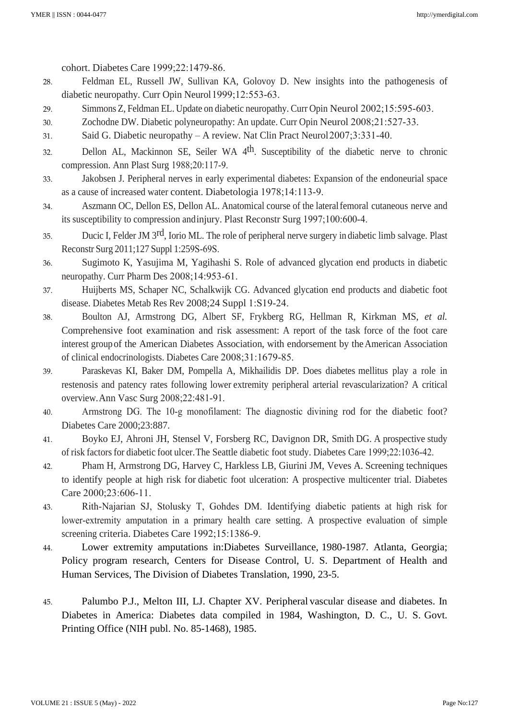cohort. Diabetes Care 1999;22:1479‑86.

- 28. Feldman EL, Russell JW, Sullivan KA, Golovoy D. New insights into the pathogenesis of diabetic neuropathy. Curr Opin Neurol 1999;12:553-63.
- 29. Simmons Z, Feldman EL. Update on diabetic neuropathy. Curr Opin Neurol 2002;15:595-603.
- 30. Zochodne DW. Diabetic polyneuropathy: An update. Curr Opin Neurol 2008;21:527‑33.
- 31. Said G. Diabetic neuropathy A review. Nat Clin Pract Neurol2007;3:331‑40.
- 32. Dellon AL, Mackinnon SE, Seiler WA 4th. Susceptibility of the diabetic nerve to chronic compression. Ann Plast Surg 1988;20:117‑9.
- 33. Jakobsen J. Peripheral nerves in early experimental diabetes: Expansion of the endoneurial space as a cause of increased water content. Diabetologia 1978;14:113‑9.
- 34. Aszmann OC, Dellon ES, Dellon AL. Anatomical course of the lateralfemoral cutaneous nerve and its susceptibility to compression and injury. Plast Reconstr Surg 1997;100:600-4.
- 35. Ducic I, Felder JM 3rd, Iorio ML. The role of peripheral nerve surgery in diabetic limb salvage. Plast Reconstr Surg 2011;127 Suppl 1:259S‑69S.
- 36. Sugimoto K, Yasujima M, Yagihashi S. Role of advanced glycation end products in diabetic neuropathy. Curr Pharm Des 2008;14:953-61.
- 37. Huijberts MS, Schaper NC, Schalkwijk CG. Advanced glycation end products and diabetic foot disease. Diabetes Metab Res Rev 2008;24 Suppl 1:S19‑24.
- 38. Boulton AJ, Armstrong DG, Albert SF, Frykberg RG, Hellman R, Kirkman MS, *et al.*  Comprehensive foot examination and risk assessment: A report of the task force of the foot care interest groupof the American Diabetes Association, with endorsement by theAmerican Association of clinical endocrinologists. Diabetes Care 2008;31:1679‑85.
- 39. Paraskevas KI, Baker DM, Pompella A, Mikhailidis DP. Does diabetes mellitus play a role in restenosis and patency rates following lower extremity peripheral arterial revascularization? A critical overview.Ann Vasc Surg 2008;22:481‑91.
- 40. Armstrong DG. The 10‑g monofilament: The diagnostic divining rod for the diabetic foot? Diabetes Care 2000;23:887.
- 41. Boyko EJ, Ahroni JH, Stensel V, Forsberg RC, Davignon DR, Smith DG. A prospective study of risk factors for diabetic foot ulcer.The Seattle diabetic foot study. Diabetes Care 1999;22:1036‑42.
- 42. Pham H, Armstrong DG, Harvey C, Harkless LB, Giurini JM, Veves A. Screening techniques to identify people at high risk for diabetic foot ulceration: A prospective multicenter trial. Diabetes Care 2000;23:606-11.
- 43. Rith‑Najarian SJ, Stolusky T, Gohdes DM. Identifying diabetic patients at high risk for lower-extremity amputation in a primary health care setting. A prospective evaluation of simple screening criteria. Diabetes Care 1992;15:1386-9.
- 44. Lower extremity amputations in:Diabetes Surveillance, 1980-1987. Atlanta, Georgia; Policy program research, Centers for Disease Control, U. S. Department of Health and Human Services, The Division of Diabetes Translation, 1990, 23-5.
- 45. Palumbo P.J., Melton III, LJ. Chapter XV. Peripheral vascular disease and diabetes. In Diabetes in America: Diabetes data compiled in 1984, Washington, D. C., U. S. Govt. Printing Office (NIH publ. No. 85-1468), 1985.